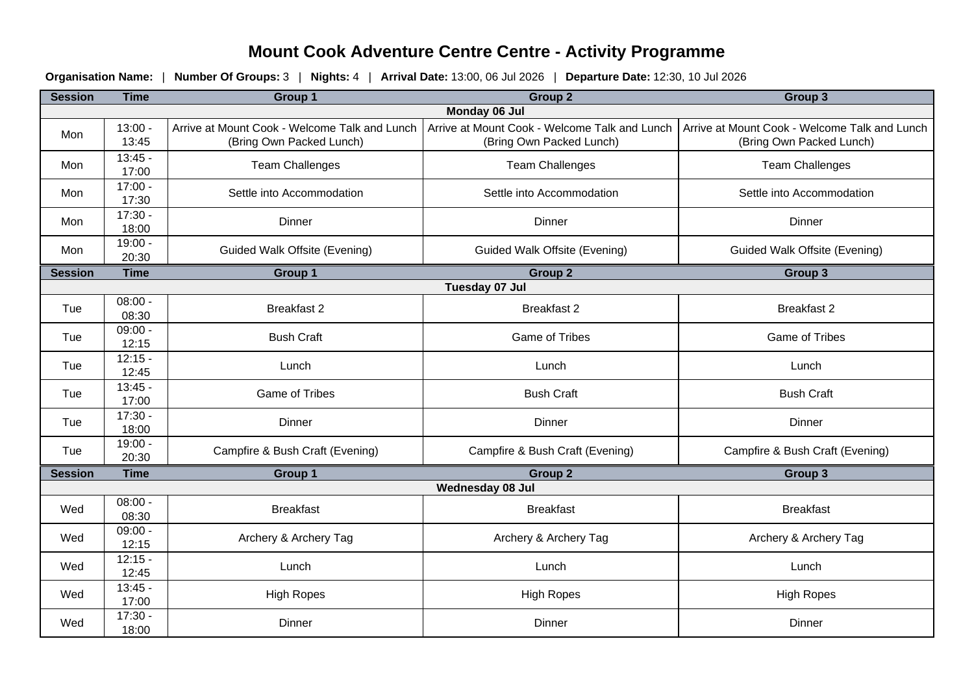## **Mount Cook Adventure Centre Centre - Activity Programme**

**Organisation Name:** | **Number Of Groups:** 3 | **Nights:** 4 | **Arrival Date:** 13:00, 06 Jul 2026 | **Departure Date:** 12:30, 10 Jul 2026

| <b>Session</b>   | <b>Time</b>        | Group 1                                                                   | <b>Group 2</b>                                                            | Group 3                                                                   |  |  |  |
|------------------|--------------------|---------------------------------------------------------------------------|---------------------------------------------------------------------------|---------------------------------------------------------------------------|--|--|--|
| Monday 06 Jul    |                    |                                                                           |                                                                           |                                                                           |  |  |  |
| Mon              | $13:00 -$<br>13:45 | Arrive at Mount Cook - Welcome Talk and Lunch<br>(Bring Own Packed Lunch) | Arrive at Mount Cook - Welcome Talk and Lunch<br>(Bring Own Packed Lunch) | Arrive at Mount Cook - Welcome Talk and Lunch<br>(Bring Own Packed Lunch) |  |  |  |
| Mon              | $13:45 -$<br>17:00 | <b>Team Challenges</b>                                                    | <b>Team Challenges</b>                                                    | <b>Team Challenges</b>                                                    |  |  |  |
| Mon              | $17:00 -$<br>17:30 | Settle into Accommodation                                                 | Settle into Accommodation                                                 | Settle into Accommodation                                                 |  |  |  |
| Mon              | $17:30 -$<br>18:00 | Dinner                                                                    | Dinner                                                                    | Dinner                                                                    |  |  |  |
| Mon              | $19:00 -$<br>20:30 | Guided Walk Offsite (Evening)                                             | Guided Walk Offsite (Evening)                                             | Guided Walk Offsite (Evening)                                             |  |  |  |
| <b>Session</b>   | <b>Time</b>        | Group 1                                                                   | <b>Group 2</b>                                                            | <b>Group 3</b>                                                            |  |  |  |
| Tuesday 07 Jul   |                    |                                                                           |                                                                           |                                                                           |  |  |  |
| Tue              | $08:00 -$<br>08:30 | <b>Breakfast 2</b>                                                        | <b>Breakfast 2</b>                                                        | <b>Breakfast 2</b>                                                        |  |  |  |
| Tue              | $09:00 -$<br>12:15 | <b>Bush Craft</b>                                                         | <b>Game of Tribes</b>                                                     | <b>Game of Tribes</b>                                                     |  |  |  |
| Tue              | $12:15 -$<br>12:45 | Lunch                                                                     | Lunch                                                                     | Lunch                                                                     |  |  |  |
| Tue              | $13:45 -$<br>17:00 | <b>Game of Tribes</b>                                                     | <b>Bush Craft</b>                                                         | <b>Bush Craft</b>                                                         |  |  |  |
| Tue              | $17:30 -$<br>18:00 | Dinner                                                                    | Dinner                                                                    | Dinner                                                                    |  |  |  |
| Tue              | $19:00 -$<br>20:30 | Campfire & Bush Craft (Evening)                                           | Campfire & Bush Craft (Evening)                                           | Campfire & Bush Craft (Evening)                                           |  |  |  |
| <b>Session</b>   | <b>Time</b>        | Group 1                                                                   | Group 2                                                                   | <b>Group 3</b>                                                            |  |  |  |
| Wednesday 08 Jul |                    |                                                                           |                                                                           |                                                                           |  |  |  |
| Wed              | $08:00 -$<br>08:30 | <b>Breakfast</b>                                                          | <b>Breakfast</b>                                                          | <b>Breakfast</b>                                                          |  |  |  |
| Wed              | $09:00 -$<br>12:15 | Archery & Archery Tag                                                     | Archery & Archery Tag                                                     | Archery & Archery Tag                                                     |  |  |  |
| Wed              | $12:15 -$<br>12:45 | Lunch                                                                     | Lunch                                                                     | Lunch                                                                     |  |  |  |
| Wed              | $13:45 -$<br>17:00 | <b>High Ropes</b>                                                         | <b>High Ropes</b>                                                         | <b>High Ropes</b>                                                         |  |  |  |
| Wed              | 17:30 -<br>18:00   | Dinner                                                                    | Dinner                                                                    | Dinner                                                                    |  |  |  |